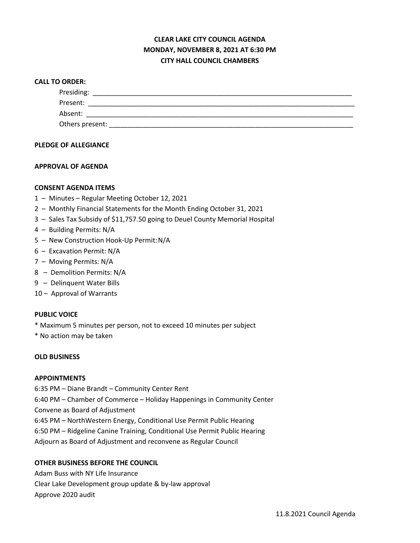# **CLEAR LAKE CITY COUNCIL AGENDA MONDAY, NOVEMBER 8, 2021 AT 6:30 PM CITY HALL COUNCIL CHAMBERS**

#### **CALL TO ORDER:**

| Presiding:      |  |  |
|-----------------|--|--|
| Present:        |  |  |
| Absent:         |  |  |
| Others present: |  |  |

## **PLEDGE OF ALLEGIANCE**

### **APPROVAL OF AGENDA**

### **CONSENT AGENDA ITEMS**

- 1 Minutes Regular Meeting October 12, 2021
- 2 Monthly Financial Statements for the Month Ending October 31, 2021
- 3 Sales Tax Subsidy of \$11,757.50 going to Deuel County Memorial Hospital
- 4 Building Permits: N/A
- 5 New Construction Hook-Up Permit:N/A
- 6 Excavation Permit: N/A
- 7 Moving Permits: N/A
- 8 Demolition Permits: N/A
- 9 Delinquent Water Bills
- 10 Approval of Warrants

#### **PUBLIC VOICE**

- \* Maximum 5 minutes per person, not to exceed 10 minutes per subject
- \* No action may be taken

## **OLD BUSINESS**

#### **APPOINTMENTS**

6:35 PM – Diane Brandt – Community Center Rent 6:40 PM – Chamber of Commerce – Holiday Happenings in Community Center Convene as Board of Adjustment 6:45 PM – NorthWestern Energy, Conditional Use Permit Public Hearing 6:50 PM – Ridgeline Canine Training, Conditional Use Permit Public Hearing Adjourn as Board of Adjustment and reconvene as Regular Council

## **OTHER BUSINESS BEFORE THE COUNCIL**

Adam Buss with NY Life Insurance Clear Lake Development group update & by-law approval Approve 2020 audit